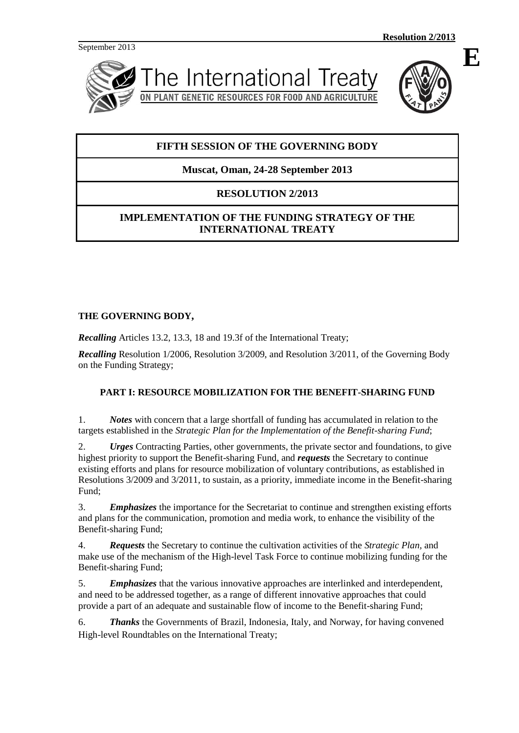September 2013





# **FIFTH SESSION OF THE GOVERNING BODY**

# **Muscat, Oman, 24-28 September 2013**

# **RESOLUTION 2/2013**

# **IMPLEMENTATION OF THE FUNDING STRATEGY OF THE INTERNATIONAL TREATY**

# **THE GOVERNING BODY,**

*Recalling* Articles 13.2, 13.3, 18 and 19.3f of the International Treaty;

*Recalling* Resolution 1/2006, Resolution 3/2009, and Resolution 3/2011, of the Governing Body on the Funding Strategy;

# **PART I: RESOURCE MOBILIZATION FOR THE BENEFIT-SHARING FUND**

1. *Notes* with concern that a large shortfall of funding has accumulated in relation to the targets established in the *Strategic Plan for the Implementation of the Benefit-sharing Fund*;

2. *Urges* Contracting Parties, other governments, the private sector and foundations, to give highest priority to support the Benefit-sharing Fund, and *requests* the Secretary to continue existing efforts and plans for resource mobilization of voluntary contributions, as established in Resolutions 3/2009 and 3/2011, to sustain, as a priority, immediate income in the Benefit-sharing Fund;

3. *Emphasizes* the importance for the Secretariat to continue and strengthen existing efforts and plans for the communication, promotion and media work, to enhance the visibility of the Benefit-sharing Fund;

4. *Requests* the Secretary to continue the cultivation activities of the *Strategic Plan,* and make use of the mechanism of the High-level Task Force to continue mobilizing funding for the Benefit-sharing Fund;

5. *Emphasizes* that the various innovative approaches are interlinked and interdependent, and need to be addressed together, as a range of different innovative approaches that could provide a part of an adequate and sustainable flow of income to the Benefit-sharing Fund;

6. *Thanks* the Governments of Brazil, Indonesia, Italy, and Norway, for having convened High-level Roundtables on the International Treaty;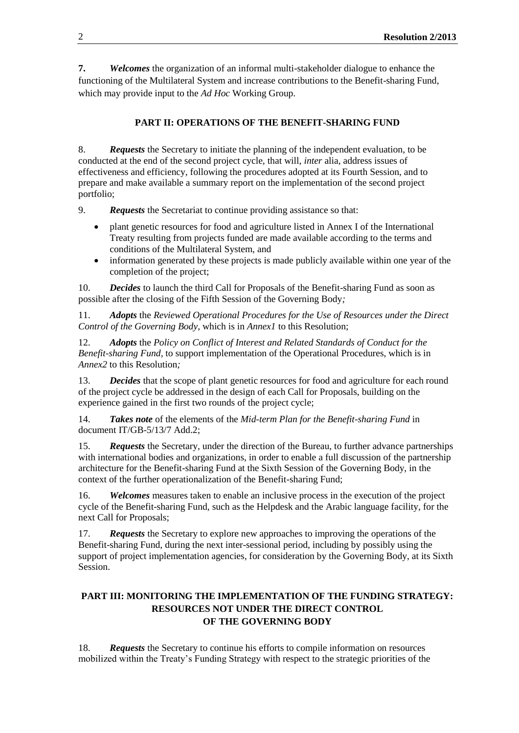**7.** *Welcomes* the organization of an informal multi-stakeholder dialogue to enhance the functioning of the Multilateral System and increase contributions to the Benefit-sharing Fund, which may provide input to the *Ad Hoc* Working Group.

# **PART II: OPERATIONS OF THE BENEFIT-SHARING FUND**

8. *Requests* the Secretary to initiate the planning of the independent evaluation, to be conducted at the end of the second project cycle, that will, *inter* alia, address issues of effectiveness and efficiency, following the procedures adopted at its Fourth Session, and to prepare and make available a summary report on the implementation of the second project portfolio;

9. *Requests* the Secretariat to continue providing assistance so that:

- plant genetic resources for food and agriculture listed in Annex I of the International Treaty resulting from projects funded are made available according to the terms and conditions of the Multilateral System, and
- information generated by these projects is made publicly available within one year of the completion of the project;

10. *Decides* to launch the third Call for Proposals of the Benefit-sharing Fund as soon as possible after the closing of the Fifth Session of the Governing Body*;*

11. *Adopts* the *Reviewed Operational Procedures for the Use of Resources under the Direct Control of the Governing Body*, which is in *Annex1* to this Resolution;

12. *Adopts* the *Policy on Conflict of Interest and Related Standards of Conduct for the Benefit-sharing Fund,* to support implementation of the Operational Procedures, which is in *Annex2* to this Resolution*;*

13. *Decides* that the scope of plant genetic resources for food and agriculture for each round of the project cycle be addressed in the design of each Call for Proposals, building on the experience gained in the first two rounds of the project cycle;

14. *Takes note* of the elements of the *Mid-term Plan for the Benefit-sharing Fund* in document IT/GB-5/13/7 Add.2;

15. *Requests* the Secretary, under the direction of the Bureau, to further advance partnerships with international bodies and organizations, in order to enable a full discussion of the partnership architecture for the Benefit-sharing Fund at the Sixth Session of the Governing Body, in the context of the further operationalization of the Benefit-sharing Fund;

16. *Welcomes* measures taken to enable an inclusive process in the execution of the project cycle of the Benefit-sharing Fund, such as the Helpdesk and the Arabic language facility, for the next Call for Proposals;

17. *Requests* the Secretary to explore new approaches to improving the operations of the Benefit-sharing Fund, during the next inter-sessional period, including by possibly using the support of project implementation agencies, for consideration by the Governing Body, at its Sixth Session.

# **PART III: MONITORING THE IMPLEMENTATION OF THE FUNDING STRATEGY: RESOURCES NOT UNDER THE DIRECT CONTROL OF THE GOVERNING BODY**

18. *Requests* the Secretary to continue his efforts to compile information on resources mobilized within the Treaty's Funding Strategy with respect to the strategic priorities of the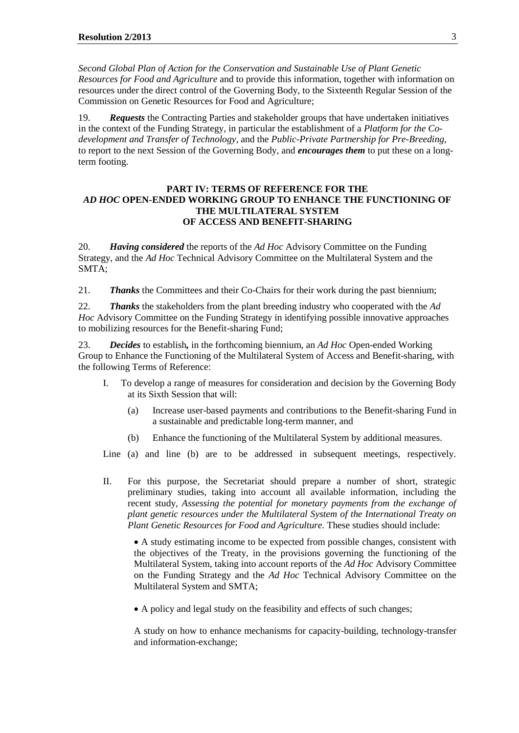*Second Global Plan of Action for the Conservation and Sustainable Use of Plant Genetic Resources for Food and Agriculture* and to provide this information, together with information on resources under the direct control of the Governing Body, to the Sixteenth Regular Session of the Commission on Genetic Resources for Food and Agriculture;

19. *Requests* the Contracting Parties and stakeholder groups that have undertaken initiatives in the context of the Funding Strategy, in particular the establishment of a *Platform for the Codevelopment and Transfer of Technology*, and the *Public-Private Partnership for Pre-Breeding,*  to report to the next Session of the Governing Body, and *encourages them* to put these on a longterm footing.

#### **PART IV: TERMS OF REFERENCE FOR THE** *AD HOC* **OPEN-ENDED WORKING GROUP TO ENHANCE THE FUNCTIONING OF THE MULTILATERAL SYSTEM OF ACCESS AND BENEFIT-SHARING**

20. *Having considered* the reports of the *Ad Hoc* Advisory Committee on the Funding Strategy, and the *Ad Hoc* Technical Advisory Committee on the Multilateral System and the SMTA;

21. *Thanks* the Committees and their Co-Chairs for their work during the past biennium;

22. *Thanks* the stakeholders from the plant breeding industry who cooperated with the *Ad Hoc* Advisory Committee on the Funding Strategy in identifying possible innovative approaches to mobilizing resources for the Benefit-sharing Fund;

23. *Decides* to establish*,* in the forthcoming biennium, an *Ad Hoc* Open-ended Working Group to Enhance the Functioning of the Multilateral System of Access and Benefit-sharing, with the following Terms of Reference:

- I. To develop a range of measures for consideration and decision by the Governing Body at its Sixth Session that will:
	- (a) Increase user-based payments and contributions to the Benefit-sharing Fund in a sustainable and predictable long-term manner, and
	- (b) Enhance the functioning of the Multilateral System by additional measures.

Line (a) and line (b) are to be addressed in subsequent meetings, respectively.

II. For this purpose, the Secretariat should prepare a number of short, strategic preliminary studies, taking into account all available information, including the recent study, *Assessing the potential for monetary payments from the exchange of plant genetic resources under the Multilateral System of the International Treaty on Plant Genetic Resources for Food and Agriculture.* These studies should include:

 A study estimating income to be expected from possible changes, consistent with the objectives of the Treaty, in the provisions governing the functioning of the Multilateral System, taking into account reports of the *Ad Hoc* Advisory Committee on the Funding Strategy and the *Ad Hoc* Technical Advisory Committee on the Multilateral System and SMTA;

A policy and legal study on the feasibility and effects of such changes;

A study on how to enhance mechanisms for capacity-building, technology-transfer and information-exchange;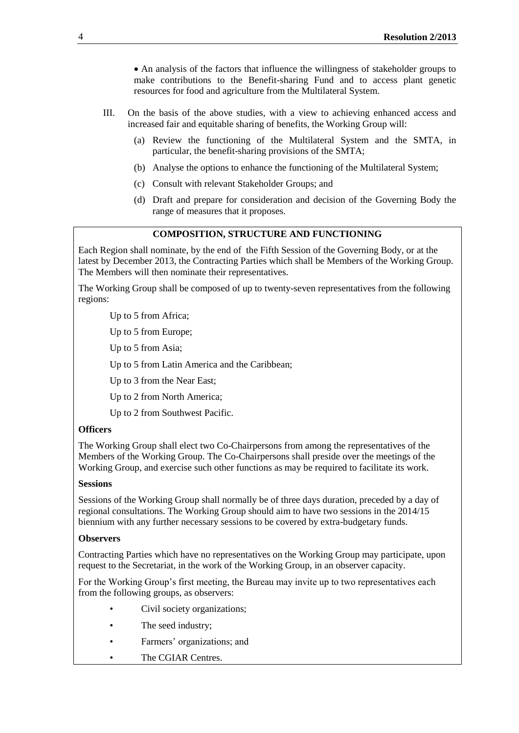An analysis of the factors that influence the willingness of stakeholder groups to make contributions to the Benefit-sharing Fund and to access plant genetic resources for food and agriculture from the Multilateral System.

- III. On the basis of the above studies, with a view to achieving enhanced access and increased fair and equitable sharing of benefits, the Working Group will:
	- (a) Review the functioning of the Multilateral System and the SMTA, in particular, the benefit-sharing provisions of the SMTA;
	- (b) Analyse the options to enhance the functioning of the Multilateral System;
	- (c) Consult with relevant Stakeholder Groups; and
	- (d) Draft and prepare for consideration and decision of the Governing Body the range of measures that it proposes.

# **COMPOSITION, STRUCTURE AND FUNCTIONING**

Each Region shall nominate, by the end of the Fifth Session of the Governing Body, or at the latest by December 2013, the Contracting Parties which shall be Members of the Working Group. The Members will then nominate their representatives.

The Working Group shall be composed of up to twenty-seven representatives from the following regions:

Up to 5 from Africa;

Up to 5 from Europe;

Up to 5 from Asia;

Up to 5 from Latin America and the Caribbean;

Up to 3 from the Near East;

Up to 2 from North America;

Up to 2 from Southwest Pacific.

#### **Officers**

The Working Group shall elect two Co-Chairpersons from among the representatives of the Members of the Working Group. The Co-Chairpersons shall preside over the meetings of the Working Group, and exercise such other functions as may be required to facilitate its work.

### **Sessions**

Sessions of the Working Group shall normally be of three days duration, preceded by a day of regional consultations. The Working Group should aim to have two sessions in the 2014/15 biennium with any further necessary sessions to be covered by extra-budgetary funds.

#### **Observers**

Contracting Parties which have no representatives on the Working Group may participate, upon request to the Secretariat, in the work of the Working Group, in an observer capacity.

For the Working Group's first meeting, the Bureau may invite up to two representatives each from the following groups, as observers:

- Civil society organizations;
- The seed industry;
- Farmers' organizations; and
- The CGIAR Centres.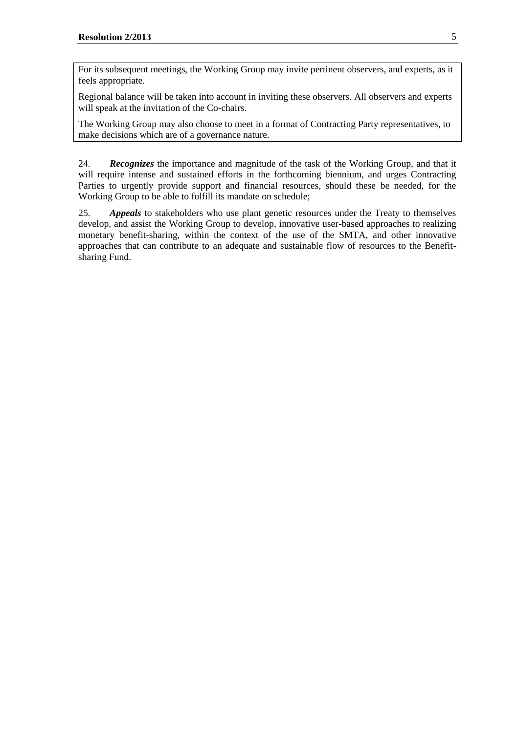For its subsequent meetings, the Working Group may invite pertinent observers, and experts, as it feels appropriate.

Regional balance will be taken into account in inviting these observers. All observers and experts will speak at the invitation of the Co-chairs.

The Working Group may also choose to meet in a format of Contracting Party representatives, to make decisions which are of a governance nature.

24. *Recognizes* the importance and magnitude of the task of the Working Group, and that it will require intense and sustained efforts in the forthcoming biennium, and urges Contracting Parties to urgently provide support and financial resources, should these be needed, for the Working Group to be able to fulfill its mandate on schedule;

25. *Appeals* to stakeholders who use plant genetic resources under the Treaty to themselves develop, and assist the Working Group to develop, innovative user-based approaches to realizing monetary benefit-sharing, within the context of the use of the SMTA, and other innovative approaches that can contribute to an adequate and sustainable flow of resources to the Benefitsharing Fund.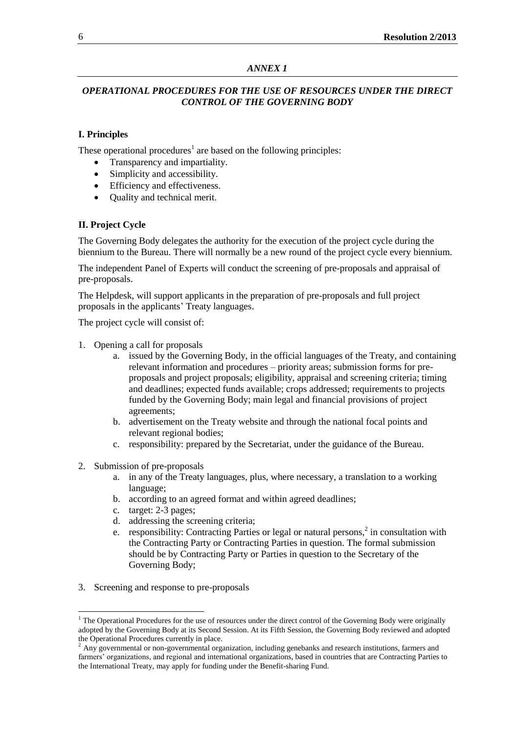### *ANNEX 1*

# *OPERATIONAL PROCEDURES FOR THE USE OF RESOURCES UNDER THE DIRECT CONTROL OF THE GOVERNING BODY*

# **I. Principles**

These operational procedures<sup>1</sup> are based on the following principles:

- Transparency and impartiality.
- Simplicity and accessibility.
- Efficiency and effectiveness.
- Quality and technical merit.

# **II. Project Cycle**

The Governing Body delegates the authority for the execution of the project cycle during the biennium to the Bureau. There will normally be a new round of the project cycle every biennium.

The independent Panel of Experts will conduct the screening of pre-proposals and appraisal of pre-proposals.

The Helpdesk, will support applicants in the preparation of pre-proposals and full project proposals in the applicants' Treaty languages.

The project cycle will consist of:

- 1. Opening a call for proposals
	- a. issued by the Governing Body, in the official languages of the Treaty, and containing relevant information and procedures – priority areas; submission forms for preproposals and project proposals; eligibility, appraisal and screening criteria; timing and deadlines; expected funds available; crops addressed; requirements to projects funded by the Governing Body; main legal and financial provisions of project agreements;
	- b. advertisement on the Treaty website and through the national focal points and relevant regional bodies;
	- c. responsibility: prepared by the Secretariat, under the guidance of the Bureau.
- 2. Submission of pre-proposals
	- a. in any of the Treaty languages, plus, where necessary, a translation to a working language;
	- b. according to an agreed format and within agreed deadlines;
	- c. target: 2-3 pages;
	- d. addressing the screening criteria;
	- e. responsibility: Contracting Parties or legal or natural persons, $2$  in consultation with the Contracting Party or Contracting Parties in question. The formal submission should be by Contracting Party or Parties in question to the Secretary of the Governing Body;
- 3. Screening and response to pre-proposals

l

 $<sup>1</sup>$  The Operational Procedures for the use of resources under the direct control of the Governing Body were originally</sup> adopted by the Governing Body at its Second Session. At its Fifth Session, the Governing Body reviewed and adopted the Operational Procedures currently in place.

 $<sup>2</sup>$  Any governmental or non-governmental organization, including genebanks and research institutions, farmers and</sup> farmers' organizations, and regional and international organizations, based in countries that are Contracting Parties to the International Treaty, may apply for funding under the Benefit-sharing Fund.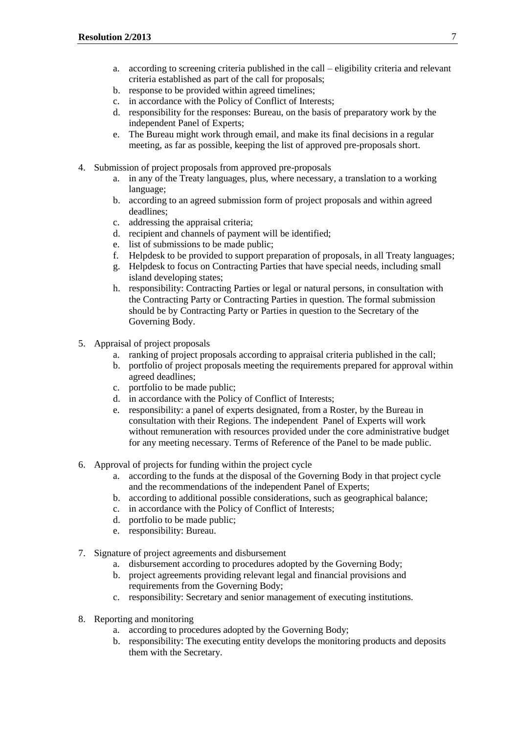- a. according to screening criteria published in the call eligibility criteria and relevant criteria established as part of the call for proposals;
- b. response to be provided within agreed timelines;
- c. in accordance with the Policy of Conflict of Interests;
- d. responsibility for the responses: Bureau, on the basis of preparatory work by the independent Panel of Experts;
- e. The Bureau might work through email, and make its final decisions in a regular meeting, as far as possible, keeping the list of approved pre-proposals short.
- 4. Submission of project proposals from approved pre-proposals
	- a. in any of the Treaty languages, plus, where necessary, a translation to a working language;
	- b. according to an agreed submission form of project proposals and within agreed deadlines;
	- c. addressing the appraisal criteria;
	- d. recipient and channels of payment will be identified;
	- e. list of submissions to be made public;
	- f. Helpdesk to be provided to support preparation of proposals, in all Treaty languages;
	- g. Helpdesk to focus on Contracting Parties that have special needs, including small island developing states;
	- h. responsibility: Contracting Parties or legal or natural persons, in consultation with the Contracting Party or Contracting Parties in question. The formal submission should be by Contracting Party or Parties in question to the Secretary of the Governing Body.
- 5. Appraisal of project proposals
	- a. ranking of project proposals according to appraisal criteria published in the call;
	- b. portfolio of project proposals meeting the requirements prepared for approval within agreed deadlines;
	- c. portfolio to be made public;
	- d. in accordance with the Policy of Conflict of Interests;
	- e. responsibility: a panel of experts designated, from a Roster, by the Bureau in consultation with their Regions. The independent Panel of Experts will work without remuneration with resources provided under the core administrative budget for any meeting necessary. Terms of Reference of the Panel to be made public.
- 6. Approval of projects for funding within the project cycle
	- a. according to the funds at the disposal of the Governing Body in that project cycle and the recommendations of the independent Panel of Experts;
	- b. according to additional possible considerations, such as geographical balance;
	- c. in accordance with the Policy of Conflict of Interests;
	- d. portfolio to be made public;
	- e. responsibility: Bureau.
- 7. Signature of project agreements and disbursement
	- a. disbursement according to procedures adopted by the Governing Body;
	- b. project agreements providing relevant legal and financial provisions and requirements from the Governing Body;
	- c. responsibility: Secretary and senior management of executing institutions.
- 8. Reporting and monitoring
	- a. according to procedures adopted by the Governing Body;
	- b. responsibility: The executing entity develops the monitoring products and deposits them with the Secretary.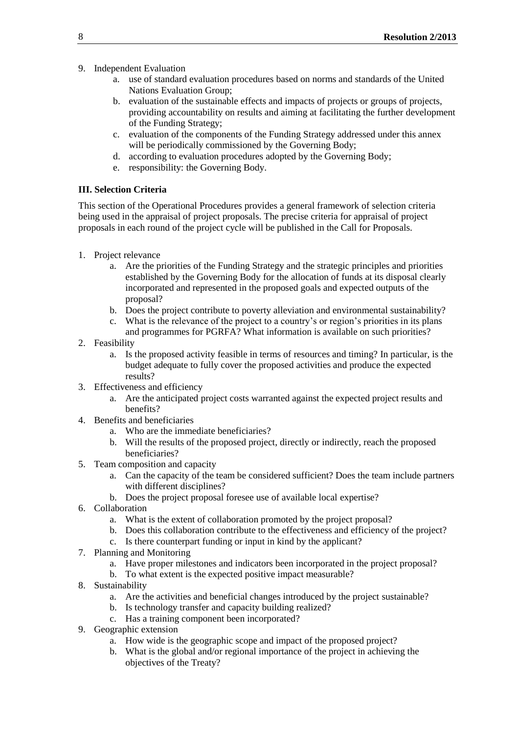- 9. Independent Evaluation
	- a. use of standard evaluation procedures based on norms and standards of the United Nations Evaluation Group;
	- b. evaluation of the sustainable effects and impacts of projects or groups of projects, providing accountability on results and aiming at facilitating the further development of the Funding Strategy;
	- c. evaluation of the components of the Funding Strategy addressed under this annex will be periodically commissioned by the Governing Body;
	- d. according to evaluation procedures adopted by the Governing Body;
	- e. responsibility: the Governing Body.

# **III. Selection Criteria**

This section of the Operational Procedures provides a general framework of selection criteria being used in the appraisal of project proposals. The precise criteria for appraisal of project proposals in each round of the project cycle will be published in the Call for Proposals.

- 1. Project relevance
	- a. Are the priorities of the Funding Strategy and the strategic principles and priorities established by the Governing Body for the allocation of funds at its disposal clearly incorporated and represented in the proposed goals and expected outputs of the proposal?
	- b. Does the project contribute to poverty alleviation and environmental sustainability?
	- c. What is the relevance of the project to a country's or region's priorities in its plans and programmes for PGRFA? What information is available on such priorities?
- 2. Feasibility
	- a. Is the proposed activity feasible in terms of resources and timing? In particular, is the budget adequate to fully cover the proposed activities and produce the expected results?
- 3. Effectiveness and efficiency
	- a. Are the anticipated project costs warranted against the expected project results and benefits?
- 4. Benefits and beneficiaries
	- a. Who are the immediate beneficiaries?
	- b. Will the results of the proposed project, directly or indirectly, reach the proposed beneficiaries?
- 5. Team composition and capacity
	- a. Can the capacity of the team be considered sufficient? Does the team include partners with different disciplines?
	- b. Does the project proposal foresee use of available local expertise?
- 6. Collaboration
	- a. What is the extent of collaboration promoted by the project proposal?
	- b. Does this collaboration contribute to the effectiveness and efficiency of the project?
	- c. Is there counterpart funding or input in kind by the applicant?
- 7. Planning and Monitoring
	- a. Have proper milestones and indicators been incorporated in the project proposal?
	- b. To what extent is the expected positive impact measurable?
- 8. Sustainability
	- a. Are the activities and beneficial changes introduced by the project sustainable?
	- b. Is technology transfer and capacity building realized?
	- c. Has a training component been incorporated?
- 9. Geographic extension
	- a. How wide is the geographic scope and impact of the proposed project?
	- b. What is the global and/or regional importance of the project in achieving the objectives of the Treaty?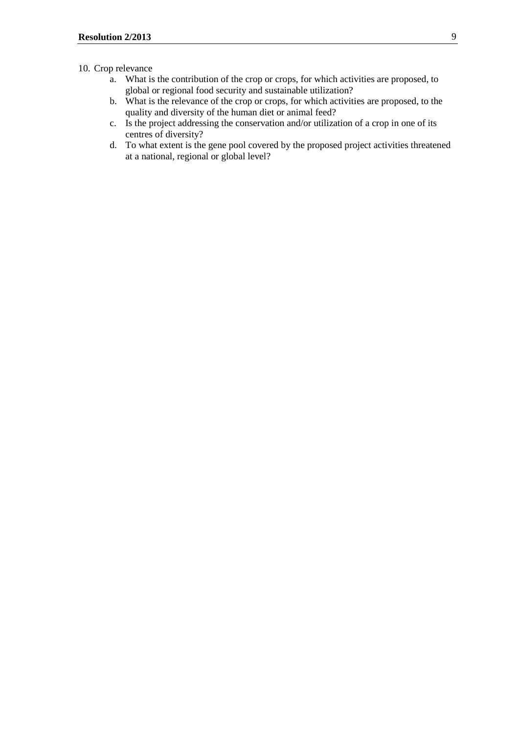# 10. Crop relevance

- a. What is the contribution of the crop or crops, for which activities are proposed, to global or regional food security and sustainable utilization?
- b. What is the relevance of the crop or crops, for which activities are proposed, to the quality and diversity of the human diet or animal feed?
- c. Is the project addressing the conservation and/or utilization of a crop in one of its centres of diversity?
- d. To what extent is the gene pool covered by the proposed project activities threatened at a national, regional or global level?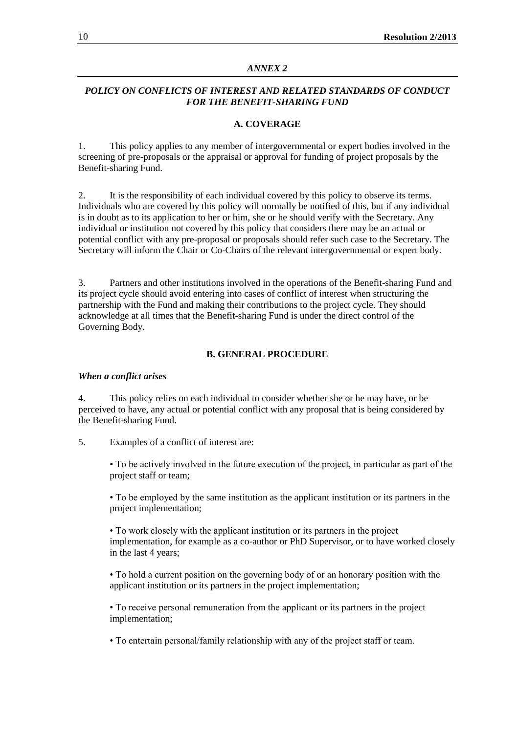#### *ANNEX 2*

### *POLICY ON CONFLICTS OF INTEREST AND RELATED STANDARDS OF CONDUCT FOR THE BENEFIT-SHARING FUND*

#### **A. COVERAGE**

1. This policy applies to any member of intergovernmental or expert bodies involved in the screening of pre-proposals or the appraisal or approval for funding of project proposals by the Benefit-sharing Fund.

2. It is the responsibility of each individual covered by this policy to observe its terms. Individuals who are covered by this policy will normally be notified of this, but if any individual is in doubt as to its application to her or him, she or he should verify with the Secretary. Any individual or institution not covered by this policy that considers there may be an actual or potential conflict with any pre-proposal or proposals should refer such case to the Secretary. The Secretary will inform the Chair or Co-Chairs of the relevant intergovernmental or expert body.

3. Partners and other institutions involved in the operations of the Benefit-sharing Fund and its project cycle should avoid entering into cases of conflict of interest when structuring the partnership with the Fund and making their contributions to the project cycle. They should acknowledge at all times that the Benefit-sharing Fund is under the direct control of the Governing Body.

#### **B. GENERAL PROCEDURE**

#### *When a conflict arises*

4. This policy relies on each individual to consider whether she or he may have, or be perceived to have, any actual or potential conflict with any proposal that is being considered by the Benefit-sharing Fund.

#### 5. Examples of a conflict of interest are:

• To be actively involved in the future execution of the project, in particular as part of the project staff or team;

• To be employed by the same institution as the applicant institution or its partners in the project implementation;

• To work closely with the applicant institution or its partners in the project implementation, for example as a co-author or PhD Supervisor, or to have worked closely in the last 4 years;

• To hold a current position on the governing body of or an honorary position with the applicant institution or its partners in the project implementation;

• To receive personal remuneration from the applicant or its partners in the project implementation;

• To entertain personal/family relationship with any of the project staff or team.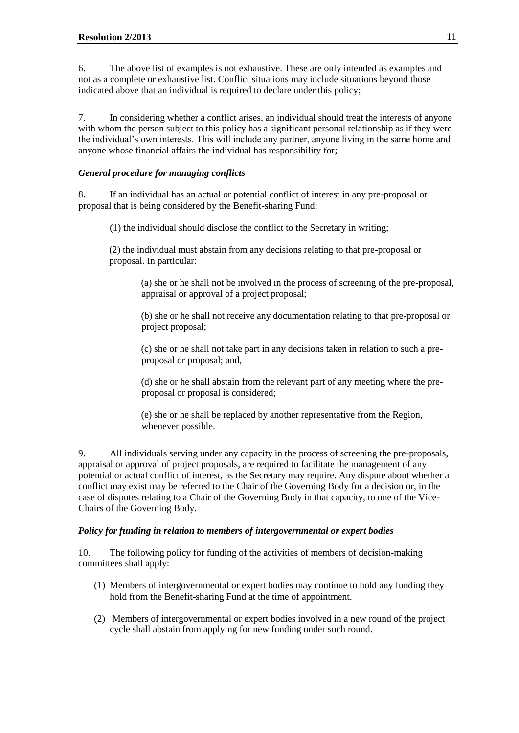6. The above list of examples is not exhaustive. These are only intended as examples and not as a complete or exhaustive list. Conflict situations may include situations beyond those indicated above that an individual is required to declare under this policy;

7. In considering whether a conflict arises, an individual should treat the interests of anyone with whom the person subject to this policy has a significant personal relationship as if they were the individual's own interests. This will include any partner, anyone living in the same home and anyone whose financial affairs the individual has responsibility for;

## *General procedure for managing conflicts*

8. If an individual has an actual or potential conflict of interest in any pre-proposal or proposal that is being considered by the Benefit-sharing Fund:

(1) the individual should disclose the conflict to the Secretary in writing;

(2) the individual must abstain from any decisions relating to that pre-proposal or proposal. In particular:

(a) she or he shall not be involved in the process of screening of the pre-proposal, appraisal or approval of a project proposal;

(b) she or he shall not receive any documentation relating to that pre-proposal or project proposal;

(c) she or he shall not take part in any decisions taken in relation to such a preproposal or proposal; and,

(d) she or he shall abstain from the relevant part of any meeting where the preproposal or proposal is considered;

(e) she or he shall be replaced by another representative from the Region, whenever possible.

9. All individuals serving under any capacity in the process of screening the pre-proposals, appraisal or approval of project proposals, are required to facilitate the management of any potential or actual conflict of interest, as the Secretary may require. Any dispute about whether a conflict may exist may be referred to the Chair of the Governing Body for a decision or, in the case of disputes relating to a Chair of the Governing Body in that capacity, to one of the Vice-Chairs of the Governing Body.

### *Policy for funding in relation to members of intergovernmental or expert bodies*

10. The following policy for funding of the activities of members of decision-making committees shall apply:

- (1) Members of intergovernmental or expert bodies may continue to hold any funding they hold from the Benefit-sharing Fund at the time of appointment.
- (2) Members of intergovernmental or expert bodies involved in a new round of the project cycle shall abstain from applying for new funding under such round.